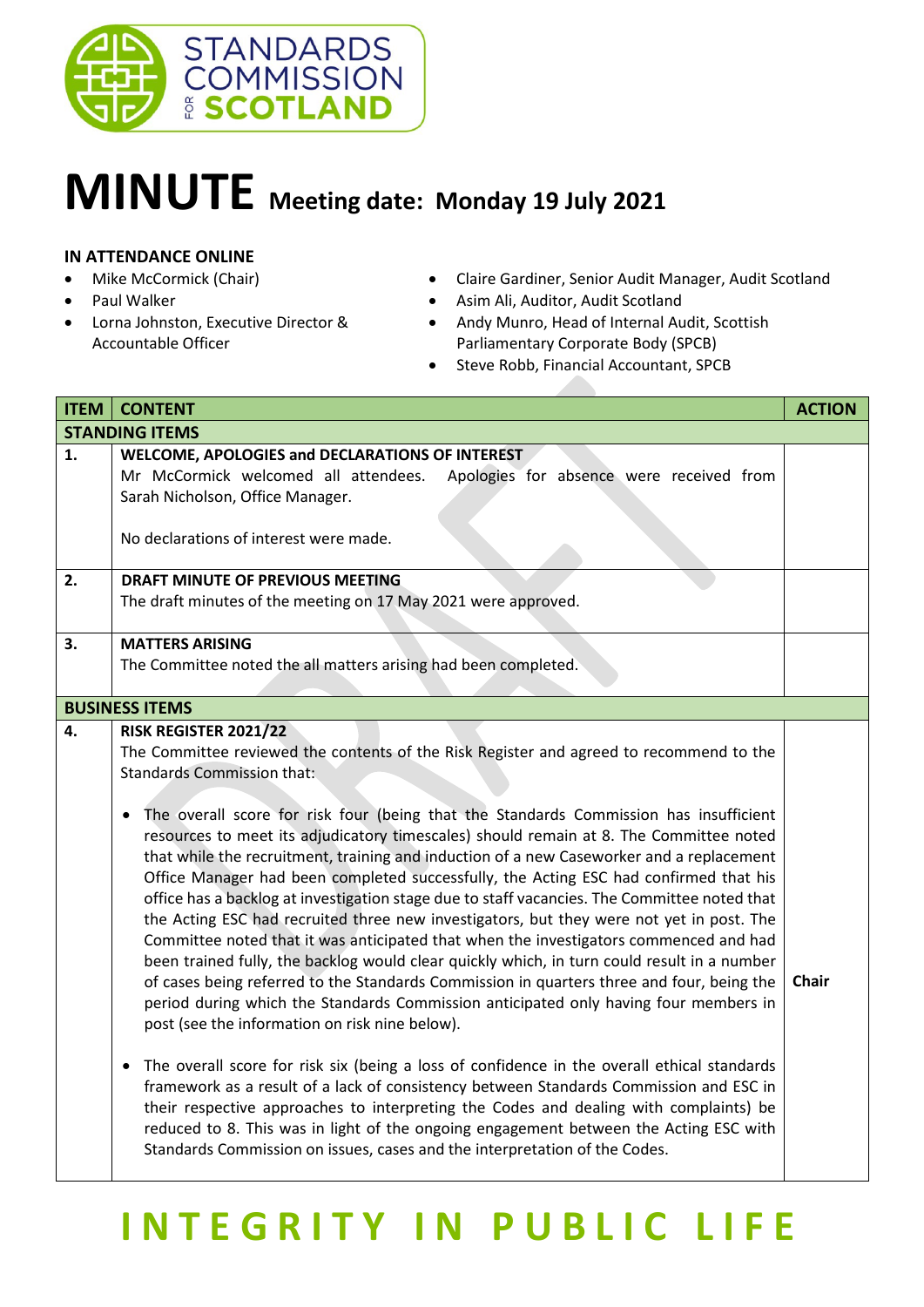

## **MINUTE Meeting date: Monday 19 July <sup>2021</sup>**

## **IN ATTENDANCE ONLINE**

- Mike McCormick (Chair)
- Paul Walker
- Lorna Johnston, Executive Director & Accountable Officer
- Claire Gardiner, Senior Audit Manager, Audit Scotland
- Asim Ali, Auditor, Audit Scotland
- Andy Munro, Head of Internal Audit, Scottish Parliamentary Corporate Body (SPCB)
- Steve Robb, Financial Accountant, SPCB

| MINUTE Meeting date: Monday 19 July 2021                                                                                                                                                                                                                                                                                                                                        |                                                                                                                                                                                                                                                                                                                                                                                                                                                                                                                                                                                                                                                                                                                                                                                                                                                                                                                                                                                                                                                                                                                                                                                                                                                                                                                                                                                                                                                                                                                                                                                                                        |               |  |  |
|---------------------------------------------------------------------------------------------------------------------------------------------------------------------------------------------------------------------------------------------------------------------------------------------------------------------------------------------------------------------------------|------------------------------------------------------------------------------------------------------------------------------------------------------------------------------------------------------------------------------------------------------------------------------------------------------------------------------------------------------------------------------------------------------------------------------------------------------------------------------------------------------------------------------------------------------------------------------------------------------------------------------------------------------------------------------------------------------------------------------------------------------------------------------------------------------------------------------------------------------------------------------------------------------------------------------------------------------------------------------------------------------------------------------------------------------------------------------------------------------------------------------------------------------------------------------------------------------------------------------------------------------------------------------------------------------------------------------------------------------------------------------------------------------------------------------------------------------------------------------------------------------------------------------------------------------------------------------------------------------------------------|---------------|--|--|
| <b>IN ATTENDANCE ONLINE</b><br>Mike McCormick (Chair)<br>Claire Gardiner, Senior Audit Manager, Audit Scotland<br>Paul Walker<br>Asim Ali, Auditor, Audit Scotland<br>Lorna Johnston, Executive Director &<br>Andy Munro, Head of Internal Audit, Scottish<br>Accountable Officer<br>Parliamentary Corporate Body (SPCB)<br>Steve Robb, Financial Accountant, SPCB<br>$\bullet$ |                                                                                                                                                                                                                                                                                                                                                                                                                                                                                                                                                                                                                                                                                                                                                                                                                                                                                                                                                                                                                                                                                                                                                                                                                                                                                                                                                                                                                                                                                                                                                                                                                        |               |  |  |
| <b>ITEM</b>                                                                                                                                                                                                                                                                                                                                                                     | <b>CONTENT</b>                                                                                                                                                                                                                                                                                                                                                                                                                                                                                                                                                                                                                                                                                                                                                                                                                                                                                                                                                                                                                                                                                                                                                                                                                                                                                                                                                                                                                                                                                                                                                                                                         | <b>ACTION</b> |  |  |
|                                                                                                                                                                                                                                                                                                                                                                                 | <b>STANDING ITEMS</b>                                                                                                                                                                                                                                                                                                                                                                                                                                                                                                                                                                                                                                                                                                                                                                                                                                                                                                                                                                                                                                                                                                                                                                                                                                                                                                                                                                                                                                                                                                                                                                                                  |               |  |  |
| 1.                                                                                                                                                                                                                                                                                                                                                                              | WELCOME, APOLOGIES and DECLARATIONS OF INTEREST<br>Mr McCormick welcomed all attendees.<br>Apologies for absence were received from<br>Sarah Nicholson, Office Manager.<br>No declarations of interest were made.                                                                                                                                                                                                                                                                                                                                                                                                                                                                                                                                                                                                                                                                                                                                                                                                                                                                                                                                                                                                                                                                                                                                                                                                                                                                                                                                                                                                      |               |  |  |
| 2.                                                                                                                                                                                                                                                                                                                                                                              | DRAFT MINUTE OF PREVIOUS MEETING<br>The draft minutes of the meeting on 17 May 2021 were approved.                                                                                                                                                                                                                                                                                                                                                                                                                                                                                                                                                                                                                                                                                                                                                                                                                                                                                                                                                                                                                                                                                                                                                                                                                                                                                                                                                                                                                                                                                                                     |               |  |  |
| 3.                                                                                                                                                                                                                                                                                                                                                                              | <b>MATTERS ARISING</b><br>The Committee noted the all matters arising had been completed.                                                                                                                                                                                                                                                                                                                                                                                                                                                                                                                                                                                                                                                                                                                                                                                                                                                                                                                                                                                                                                                                                                                                                                                                                                                                                                                                                                                                                                                                                                                              |               |  |  |
|                                                                                                                                                                                                                                                                                                                                                                                 | <b>BUSINESS ITEMS</b>                                                                                                                                                                                                                                                                                                                                                                                                                                                                                                                                                                                                                                                                                                                                                                                                                                                                                                                                                                                                                                                                                                                                                                                                                                                                                                                                                                                                                                                                                                                                                                                                  |               |  |  |
| 4.                                                                                                                                                                                                                                                                                                                                                                              | RISK REGISTER 2021/22<br>The Committee reviewed the contents of the Risk Register and agreed to recommend to the<br><b>Standards Commission that:</b><br>The overall score for risk four (being that the Standards Commission has insufficient<br>resources to meet its adjudicatory timescales) should remain at 8. The Committee noted<br>that while the recruitment, training and induction of a new Caseworker and a replacement<br>Office Manager had been completed successfully, the Acting ESC had confirmed that his<br>office has a backlog at investigation stage due to staff vacancies. The Committee noted that<br>the Acting ESC had recruited three new investigators, but they were not yet in post. The<br>Committee noted that it was anticipated that when the investigators commenced and had<br>been trained fully, the backlog would clear quickly which, in turn could result in a number<br>of cases being referred to the Standards Commission in quarters three and four, being the<br>period during which the Standards Commission anticipated only having four members in<br>post (see the information on risk nine below).<br>The overall score for risk six (being a loss of confidence in the overall ethical standards<br>٠<br>framework as a result of a lack of consistency between Standards Commission and ESC in<br>their respective approaches to interpreting the Codes and dealing with complaints) be<br>reduced to 8. This was in light of the ongoing engagement between the Acting ESC with<br>Standards Commission on issues, cases and the interpretation of the Codes. | <b>Chair</b>  |  |  |

## **INTEGRITY IN PUBLIC LIFE**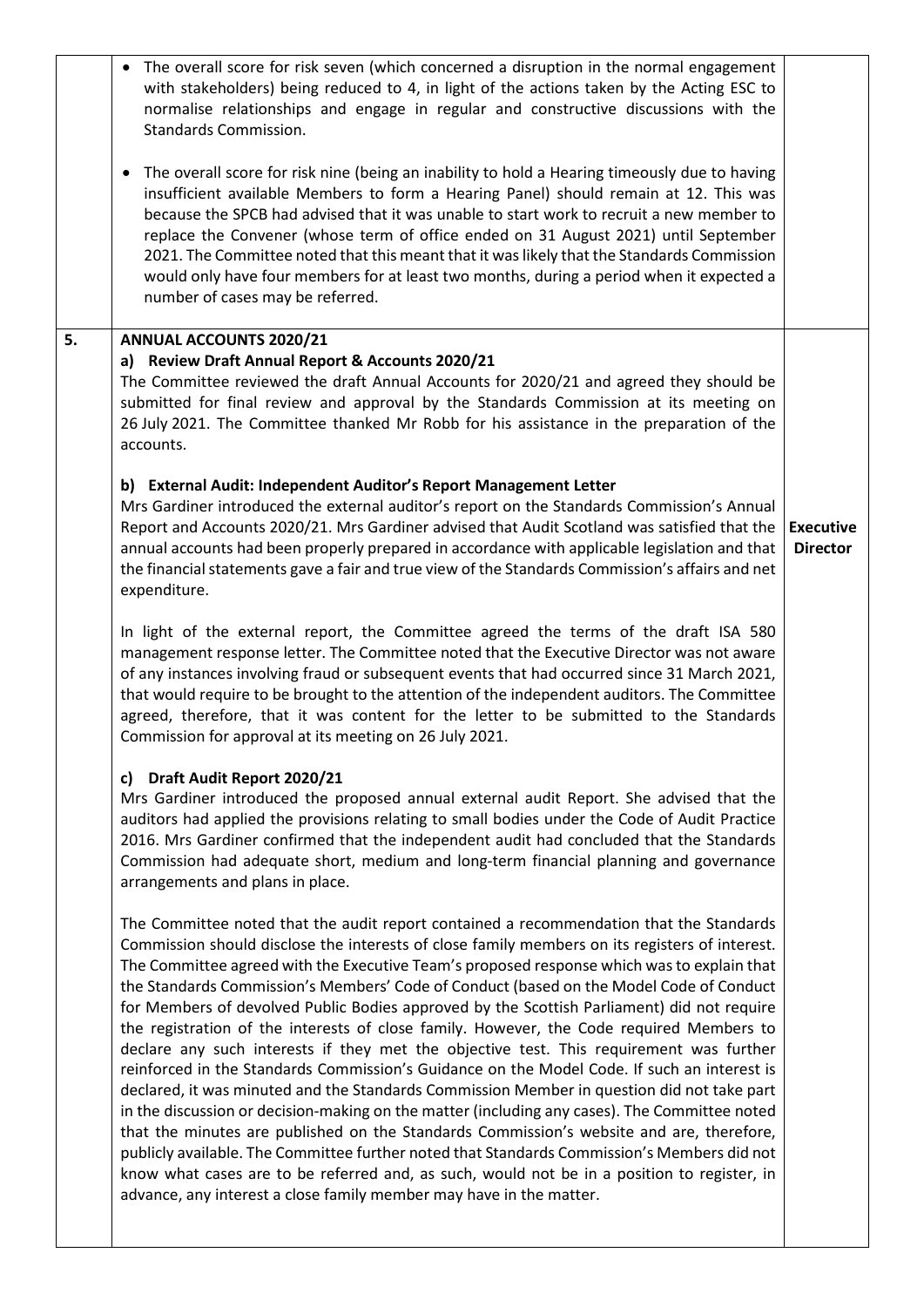|    | The overall score for risk seven (which concerned a disruption in the normal engagement<br>$\bullet$<br>with stakeholders) being reduced to 4, in light of the actions taken by the Acting ESC to<br>normalise relationships and engage in regular and constructive discussions with the<br><b>Standards Commission.</b><br>The overall score for risk nine (being an inability to hold a Hearing timeously due to having<br>$\bullet$<br>insufficient available Members to form a Hearing Panel) should remain at 12. This was<br>because the SPCB had advised that it was unable to start work to recruit a new member to<br>replace the Convener (whose term of office ended on 31 August 2021) until September<br>2021. The Committee noted that this meant that it was likely that the Standards Commission<br>would only have four members for at least two months, during a period when it expected a<br>number of cases may be referred. |                                     |
|----|--------------------------------------------------------------------------------------------------------------------------------------------------------------------------------------------------------------------------------------------------------------------------------------------------------------------------------------------------------------------------------------------------------------------------------------------------------------------------------------------------------------------------------------------------------------------------------------------------------------------------------------------------------------------------------------------------------------------------------------------------------------------------------------------------------------------------------------------------------------------------------------------------------------------------------------------------|-------------------------------------|
| 5. | <b>ANNUAL ACCOUNTS 2020/21</b><br>a) Review Draft Annual Report & Accounts 2020/21                                                                                                                                                                                                                                                                                                                                                                                                                                                                                                                                                                                                                                                                                                                                                                                                                                                               |                                     |
|    | The Committee reviewed the draft Annual Accounts for 2020/21 and agreed they should be<br>submitted for final review and approval by the Standards Commission at its meeting on<br>26 July 2021. The Committee thanked Mr Robb for his assistance in the preparation of the<br>accounts.                                                                                                                                                                                                                                                                                                                                                                                                                                                                                                                                                                                                                                                         |                                     |
|    | b) External Audit: Independent Auditor's Report Management Letter                                                                                                                                                                                                                                                                                                                                                                                                                                                                                                                                                                                                                                                                                                                                                                                                                                                                                |                                     |
|    | Mrs Gardiner introduced the external auditor's report on the Standards Commission's Annual<br>Report and Accounts 2020/21. Mrs Gardiner advised that Audit Scotland was satisfied that the<br>annual accounts had been properly prepared in accordance with applicable legislation and that<br>the financial statements gave a fair and true view of the Standards Commission's affairs and net<br>expenditure.                                                                                                                                                                                                                                                                                                                                                                                                                                                                                                                                  | <b>Executive</b><br><b>Director</b> |
|    | In light of the external report, the Committee agreed the terms of the draft ISA 580<br>management response letter. The Committee noted that the Executive Director was not aware<br>of any instances involving fraud or subsequent events that had occurred since 31 March 2021,<br>that would require to be brought to the attention of the independent auditors. The Committee<br>agreed, therefore, that it was content for the letter to be submitted to the Standards<br>Commission for approval at its meeting on 26 July 2021.                                                                                                                                                                                                                                                                                                                                                                                                           |                                     |
|    | Draft Audit Report 2020/21<br>C)                                                                                                                                                                                                                                                                                                                                                                                                                                                                                                                                                                                                                                                                                                                                                                                                                                                                                                                 |                                     |
|    | Mrs Gardiner introduced the proposed annual external audit Report. She advised that the<br>auditors had applied the provisions relating to small bodies under the Code of Audit Practice<br>2016. Mrs Gardiner confirmed that the independent audit had concluded that the Standards<br>Commission had adequate short, medium and long-term financial planning and governance<br>arrangements and plans in place.                                                                                                                                                                                                                                                                                                                                                                                                                                                                                                                                |                                     |
|    | The Committee noted that the audit report contained a recommendation that the Standards<br>Commission should disclose the interests of close family members on its registers of interest.<br>The Committee agreed with the Executive Team's proposed response which was to explain that<br>the Standards Commission's Members' Code of Conduct (based on the Model Code of Conduct<br>for Members of devolved Public Bodies approved by the Scottish Parliament) did not require<br>the registration of the interests of close family. However, the Code required Members to<br>declare any such interests if they met the objective test. This requirement was further                                                                                                                                                                                                                                                                          |                                     |
|    | reinforced in the Standards Commission's Guidance on the Model Code. If such an interest is<br>declared, it was minuted and the Standards Commission Member in question did not take part<br>in the discussion or decision-making on the matter (including any cases). The Committee noted<br>that the minutes are published on the Standards Commission's website and are, therefore,<br>publicly available. The Committee further noted that Standards Commission's Members did not<br>know what cases are to be referred and, as such, would not be in a position to register, in<br>advance, any interest a close family member may have in the matter.                                                                                                                                                                                                                                                                                      |                                     |
|    |                                                                                                                                                                                                                                                                                                                                                                                                                                                                                                                                                                                                                                                                                                                                                                                                                                                                                                                                                  |                                     |